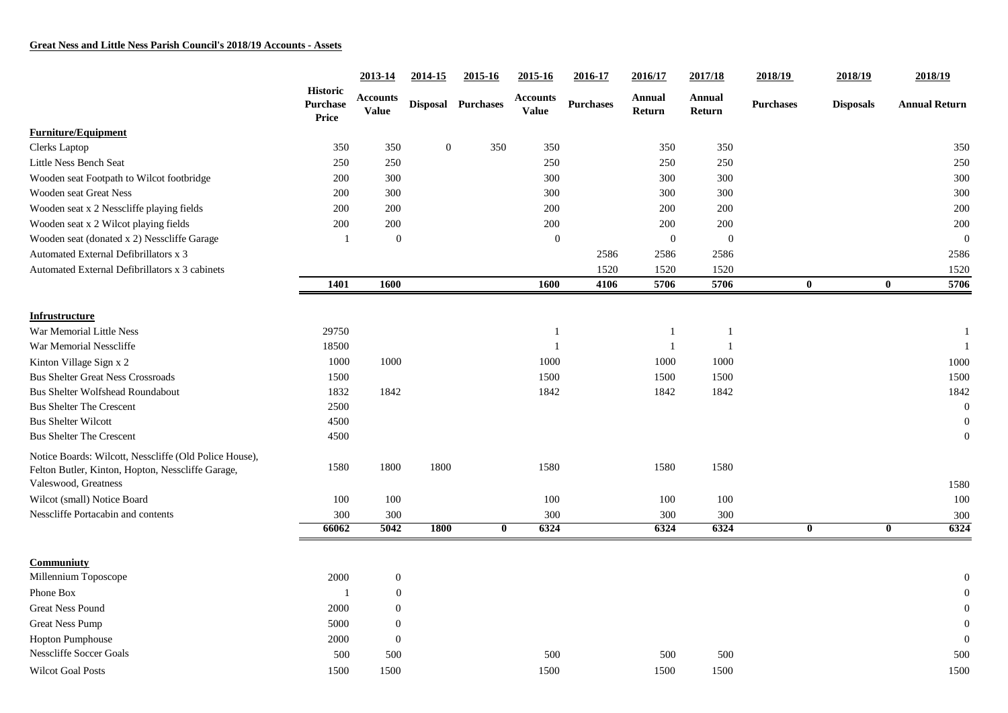|                                                                                                                                     | <b>Historic</b><br><b>Purchase</b><br>Price | 2013-14                         | 2014-15          | 2015-16                 | 2015-16                         | 2016-17          | 2016/17                 | 2017/18                 | 2018/19                 | 2018/19          | 2018/19                         |
|-------------------------------------------------------------------------------------------------------------------------------------|---------------------------------------------|---------------------------------|------------------|-------------------------|---------------------------------|------------------|-------------------------|-------------------------|-------------------------|------------------|---------------------------------|
|                                                                                                                                     |                                             | <b>Accounts</b><br><b>Value</b> |                  | Disposal Purchases      | <b>Accounts</b><br><b>Value</b> | <b>Purchases</b> | <b>Annual</b><br>Return | <b>Annual</b><br>Return | <b>Purchases</b>        | <b>Disposals</b> | <b>Annual Return</b>            |
| <b>Furniture/Equipment</b>                                                                                                          |                                             |                                 |                  |                         |                                 |                  |                         |                         |                         |                  |                                 |
| Clerks Laptop                                                                                                                       | 350                                         | 350                             | $\boldsymbol{0}$ | 350                     | 350                             |                  | 350                     | 350                     |                         |                  | 350                             |
| Little Ness Bench Seat                                                                                                              | 250                                         | 250                             |                  |                         | 250                             |                  | 250                     | 250                     |                         |                  | 250                             |
| Wooden seat Footpath to Wilcot footbridge                                                                                           | 200                                         | 300                             |                  |                         | 300                             |                  | 300                     | 300                     |                         |                  | 300                             |
| Wooden seat Great Ness                                                                                                              | 200                                         | 300                             |                  |                         | 300                             |                  | 300                     | 300                     |                         |                  | 300                             |
| Wooden seat x 2 Nesscliffe playing fields                                                                                           | 200                                         | 200                             |                  |                         | 200                             |                  | 200                     | 200                     |                         |                  | 200                             |
| Wooden seat x 2 Wilcot playing fields                                                                                               | 200                                         | 200                             |                  |                         | 200                             |                  | 200                     | 200                     |                         |                  | 200                             |
| Wooden seat (donated x 2) Nesscliffe Garage                                                                                         | $\mathbf{1}$                                | $\mathbf{0}$                    |                  |                         | $\theta$                        |                  | $\boldsymbol{0}$        | $\overline{0}$          |                         |                  | $\mathbf{0}$                    |
| Automated External Defibrillators x 3                                                                                               |                                             |                                 |                  |                         |                                 | 2586             | 2586                    | 2586                    |                         |                  | 2586                            |
| Automated External Defibrillators x 3 cabinets                                                                                      |                                             |                                 |                  |                         |                                 | 1520             | 1520                    | 1520                    |                         |                  | 1520                            |
|                                                                                                                                     | 1401                                        | 1600                            |                  |                         | 1600                            | 4106             | 5706                    | 5706                    | $\bf{0}$                |                  | $\bf{0}$<br>5706                |
| Infrustructure                                                                                                                      |                                             |                                 |                  |                         |                                 |                  |                         |                         |                         |                  |                                 |
| War Memorial Little Ness                                                                                                            | 29750                                       |                                 |                  |                         | -1                              |                  | -1                      | -1                      |                         |                  |                                 |
| War Memorial Nesscliffe                                                                                                             | 18500                                       |                                 |                  |                         |                                 |                  | $\overline{1}$          |                         |                         |                  |                                 |
| Kinton Village Sign x 2                                                                                                             | 1000                                        | 1000                            |                  |                         | 1000                            |                  | 1000                    | 1000                    |                         |                  | 1000                            |
| <b>Bus Shelter Great Ness Crossroads</b>                                                                                            | 1500                                        |                                 |                  |                         | 1500                            |                  | 1500                    | 1500                    |                         |                  | 1500                            |
| <b>Bus Shelter Wolfshead Roundabout</b>                                                                                             | 1832                                        | 1842                            |                  |                         | 1842                            |                  | 1842                    | 1842                    |                         |                  | 1842                            |
| <b>Bus Shelter The Crescent</b>                                                                                                     | 2500                                        |                                 |                  |                         |                                 |                  |                         |                         |                         |                  | $\boldsymbol{0}$                |
| <b>Bus Shelter Wilcott</b>                                                                                                          | 4500                                        |                                 |                  |                         |                                 |                  |                         |                         |                         |                  | $\mathbf{0}$                    |
| <b>Bus Shelter The Crescent</b>                                                                                                     | 4500                                        |                                 |                  |                         |                                 |                  |                         |                         |                         |                  | $\overline{0}$                  |
| Notice Boards: Wilcott, Nesscliffe (Old Police House),<br>Felton Butler, Kinton, Hopton, Nesscliffe Garage,<br>Valeswood, Greatness | 1580                                        | 1800                            | 1800             |                         | 1580                            |                  | 1580                    | 1580                    |                         |                  | 1580                            |
| Wilcot (small) Notice Board                                                                                                         | 100                                         | 100                             |                  |                         | 100                             |                  | 100                     | 100                     |                         |                  | 100                             |
| Nesscliffe Portacabin and contents                                                                                                  | 300                                         | 300                             |                  |                         | 300                             |                  | 300                     | 300                     |                         |                  | 300                             |
|                                                                                                                                     | 66062                                       | 5042                            | <b>1800</b>      | $\overline{\mathbf{0}}$ | 6324                            |                  | 6324                    | 6324                    | $\overline{\mathbf{0}}$ |                  | 6324<br>$\overline{\mathbf{0}}$ |
| <b>Communiuty</b>                                                                                                                   |                                             |                                 |                  |                         |                                 |                  |                         |                         |                         |                  |                                 |
| Millennium Toposcope                                                                                                                | 2000                                        | $\boldsymbol{0}$                |                  |                         |                                 |                  |                         |                         |                         |                  |                                 |
| Phone Box                                                                                                                           | $\mathbf{1}$                                | $\overline{0}$                  |                  |                         |                                 |                  |                         |                         |                         |                  |                                 |
| <b>Great Ness Pound</b>                                                                                                             | 2000                                        | $\theta$                        |                  |                         |                                 |                  |                         |                         |                         |                  |                                 |
| <b>Great Ness Pump</b>                                                                                                              | 5000                                        | $\mathbf{0}$                    |                  |                         |                                 |                  |                         |                         |                         |                  |                                 |
| Hopton Pumphouse                                                                                                                    | 2000                                        | $\mathbf{0}$                    |                  |                         |                                 |                  |                         |                         |                         |                  | $\mathbf{0}$                    |
| <b>Nesscliffe Soccer Goals</b>                                                                                                      | 500                                         | 500                             |                  |                         | 500                             |                  | 500                     | 500                     |                         |                  | 500                             |
| <b>Wilcot Goal Posts</b>                                                                                                            | 1500                                        | 1500                            |                  |                         | 1500                            |                  | 1500                    | 1500                    |                         |                  | 1500                            |